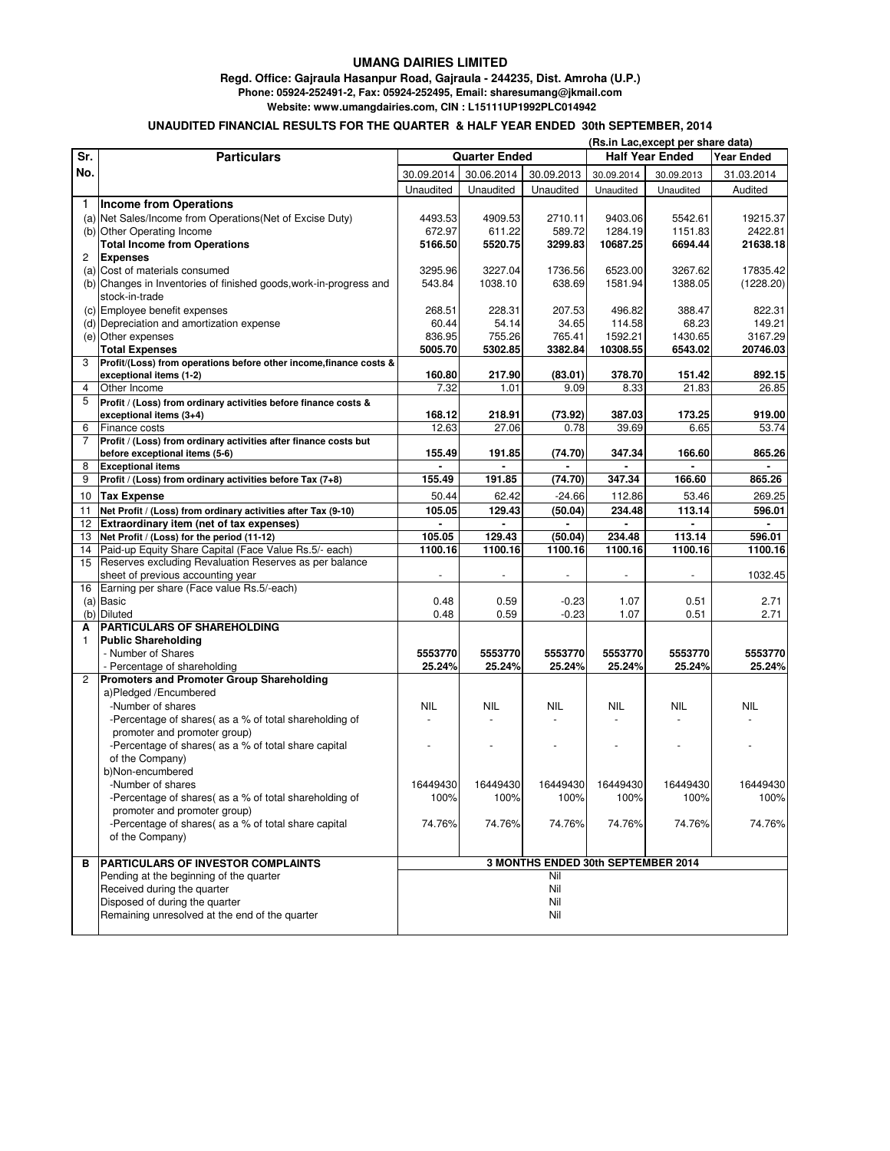## **UMANG DAIRIES LIMITED**

## **Regd. Office: Gajraula Hasanpur Road, Gajraula - 244235, Dist. Amroha (U.P.) Phone: 05924-252491-2, Fax: 05924-252495, Email: sharesumang@jkmail.com**

 **Website: www.umangdairies.com, CIN : L15111UP1992PLC014942**

## **UNAUDITED FINANCIAL RESULTS FOR THE QUARTER & HALF YEAR ENDED 30th SEPTEMBER, 2014**

|                |                                                                    | (Rs.in Lac, except per share data) |            |            |                                             |            |            |
|----------------|--------------------------------------------------------------------|------------------------------------|------------|------------|---------------------------------------------|------------|------------|
| Sr.            | <b>Particulars</b>                                                 | <b>Quarter Ended</b>               |            |            | <b>Half Year Ended</b><br><b>Year Ended</b> |            |            |
| No.            |                                                                    | 30.09.2014                         | 30.06.2014 | 30.09.2013 | 30.09.2014                                  | 30.09.2013 | 31.03.2014 |
|                |                                                                    | Unaudited                          | Unaudited  | Unaudited  | Unaudited                                   | Unaudited  | Audited    |
|                |                                                                    |                                    |            |            |                                             |            |            |
| 1              | <b>Income from Operations</b>                                      |                                    |            |            |                                             |            |            |
|                | (a) Net Sales/Income from Operations (Net of Excise Duty)          | 4493.53                            | 4909.53    | 2710.11    | 9403.06                                     | 5542.61    | 19215.37   |
|                | (b) Other Operating Income                                         | 672.97                             | 611.22     | 589.72     | 1284.19                                     | 1151.83    | 2422.81    |
|                | <b>Total Income from Operations</b>                                | 5166.50                            | 5520.75    | 3299.83    | 10687.25                                    | 6694.44    | 21638.18   |
| 2              | <b>Expenses</b>                                                    |                                    |            |            |                                             |            |            |
|                | (a) Cost of materials consumed                                     | 3295.96                            | 3227.04    | 1736.56    | 6523.00                                     | 3267.62    | 17835.42   |
|                | (b) Changes in Inventories of finished goods, work-in-progress and | 543.84                             | 1038.10    | 638.69     | 1581.94                                     | 1388.05    | (1228.20)  |
|                | stock-in-trade                                                     |                                    |            |            |                                             |            |            |
|                | (c) Employee benefit expenses                                      | 268.51                             | 228.31     | 207.53     | 496.82                                      | 388.47     | 822.31     |
|                | (d) Depreciation and amortization expense                          | 60.44                              | 54.14      | 34.65      | 114.58                                      | 68.23      | 149.21     |
|                | (e) Other expenses                                                 | 836.95                             | 755.26     | 765.41     | 1592.21                                     | 1430.65    | 3167.29    |
|                | <b>Total Expenses</b>                                              | 5005.70                            | 5302.85    | 3382.84    | 10308.55                                    | 6543.02    | 20746.03   |
| 3              | Profit/(Loss) from operations before other income, finance costs & |                                    |            |            |                                             |            |            |
|                | exceptional items (1-2)                                            | 160.80                             | 217.90     | (83.01)    | 378.70                                      | 151.42     | 892.15     |
| $\overline{4}$ | Other Income                                                       | 7.32                               | 1.01       | 9.09       | 8.33                                        | 21.83      | 26.85      |
| 5              | Profit / (Loss) from ordinary activities before finance costs &    |                                    |            |            |                                             |            |            |
|                | exceptional items (3+4)                                            | 168.12                             | 218.91     | (73.92)    | 387.03                                      | 173.25     | 919.00     |
| 6              | Finance costs                                                      | 12.63                              | 27.06      | 0.78       | 39.69                                       | 6.65       | 53.74      |
| 7              | Profit / (Loss) from ordinary activities after finance costs but   |                                    |            |            |                                             |            |            |
|                | before exceptional items (5-6)                                     | 155.49                             | 191.85     | (74.70)    | 347.34                                      | 166.60     | 865.26     |
| 8              | <b>Exceptional items</b>                                           |                                    |            |            |                                             |            |            |
| 9              | Profit / (Loss) from ordinary activities before Tax (7+8)          | 155.49                             | 191.85     | (74.70)    | 347.34                                      | 166.60     | 865.26     |
| 10             | <b>Tax Expense</b>                                                 | 50.44                              | 62.42      | $-24.66$   | 112.86                                      | 53.46      | 269.25     |
| 11             | Net Profit / (Loss) from ordinary activities after Tax (9-10)      | 105.05                             | 129.43     | (50.04)    | 234.48                                      | 113.14     | 596.01     |
| 12             | Extraordinary item (net of tax expenses)                           |                                    |            |            |                                             |            |            |
| 13             | Net Profit / (Loss) for the period (11-12)                         | 105.05                             | 129.43     | (50.04)    | 234.48                                      | 113.14     | 596.01     |
| 14             | Paid-up Equity Share Capital (Face Value Rs.5/- each)              | 1100.16                            | 1100.16    | 1100.16    | 1100.16                                     | 1100.16    | 1100.16    |
| 15             | Reserves excluding Revaluation Reserves as per balance             |                                    |            |            |                                             |            |            |
|                | sheet of previous accounting year                                  | $\sim$                             |            | $\sim$     | $\blacksquare$                              |            | 1032.45    |
| 16             | Earning per share (Face value Rs.5/-each)                          |                                    |            |            |                                             |            |            |
|                | (a) Basic                                                          | 0.48                               | 0.59       | $-0.23$    | 1.07                                        | 0.51       | 2.71       |
|                | (b) Diluted                                                        | 0.48                               | 0.59       | $-0.23$    | 1.07                                        | 0.51       | 2.71       |
| A              | <b>PARTICULARS OF SHAREHOLDING</b>                                 |                                    |            |            |                                             |            |            |
| 1              | <b>Public Shareholding</b>                                         |                                    |            |            |                                             |            |            |
|                | - Number of Shares                                                 | 5553770                            | 5553770    | 5553770    | 5553770                                     | 5553770    | 5553770    |
|                | - Percentage of shareholding                                       | 25.24%                             | 25.24%     | 25.24%     | 25.24%                                      | 25.24%     | 25.24%     |
| $\overline{2}$ | <b>Promoters and Promoter Group Shareholding</b>                   |                                    |            |            |                                             |            |            |
|                | a)Pledged /Encumbered                                              |                                    |            |            |                                             |            |            |
|                | -Number of shares                                                  | <b>NIL</b>                         | NIL        | NIL        | NIL                                         | NIL        | NIL        |
|                | -Percentage of shares( as a % of total shareholding of             | $\overline{\phantom{a}}$           |            |            |                                             |            |            |
|                | promoter and promoter group)                                       |                                    |            |            |                                             |            |            |
|                | -Percentage of shares( as a % of total share capital               |                                    |            |            |                                             |            |            |
|                | of the Company)                                                    |                                    |            |            |                                             |            |            |
|                | b)Non-encumbered                                                   |                                    |            |            |                                             |            |            |
|                | -Number of shares                                                  | 16449430                           | 16449430   | 16449430   | 16449430                                    | 16449430   | 16449430   |
|                | -Percentage of shares( as a % of total shareholding of             | 100%                               | 100%       | 100%       | 100%                                        | 100%       | 100%       |
|                | promoter and promoter group)                                       |                                    |            |            |                                             |            |            |
|                | -Percentage of shares( as a % of total share capital               | 74.76%                             | 74.76%     | 74.76%     | 74.76%                                      | 74.76%     | 74.76%     |
|                | of the Company)                                                    |                                    |            |            |                                             |            |            |
|                |                                                                    |                                    |            |            |                                             |            |            |
| в              | PARTICULARS OF INVESTOR COMPLAINTS                                 | 3 MONTHS ENDED 30th SEPTEMBER 2014 |            |            |                                             |            |            |
|                | Pending at the beginning of the quarter                            | Nil                                |            |            |                                             |            |            |
|                | Received during the quarter                                        | Nil                                |            |            |                                             |            |            |
|                | Disposed of during the quarter                                     | Nil                                |            |            |                                             |            |            |
|                | Remaining unresolved at the end of the quarter                     |                                    |            | Nil        |                                             |            |            |
|                |                                                                    |                                    |            |            |                                             |            |            |